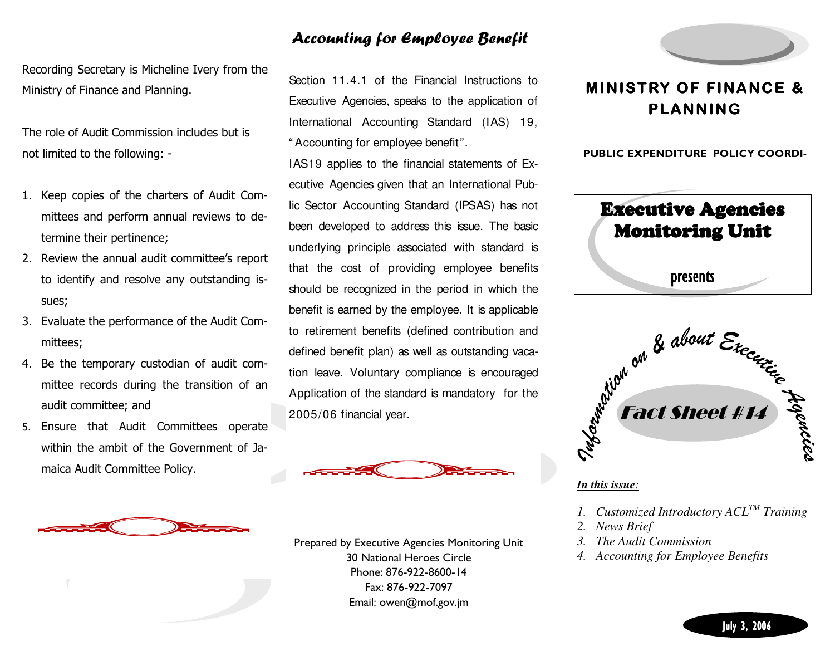### Accounting for Employee Benefit

Section 11.4.1 of the Financial Instructions to

Executive Agencies, speaks to the application of International Accounting Standard (IAS) 19,

IAS19 applies to the financial statements of Ex-

ecutive Agencies given that an International Public Sector Accounting Standard (IPSAS) has not been developed to address this issue. The basic underlying principle associated with standard is that the cost of providing employee benefits should be recognized in the period in which the

benefit is earned by the employee. It is applicableto retirement benefits (defined contribution and

defined benefit plan) as well as outstanding vacation leave. Voluntary compliance is encouraged Application of the standard is mandatory for the

2005/06 financial year.

" Accounting for employee benefit".

Recording Secretary is Micheline Ivery from the Ministry of Finance and Planning.

The role of Audit Commission includes but is not limited to the following: -

- 1. Keep copies of the charters of Audit Committees and perform annual reviews to determine their pertinence;
- 2. Review the annual audit committee's report to identify and resolve any outstanding issues;
- 3. Evaluate the performance of the Audit Committees;
- 4. Be the temporary custodian of audit committee records during the transition of an audit committee; and
- 5. Ensure that Audit Committees operate within the ambit of the Government of Jamaica Audit Committee Policy.



Prepared by Executive Agencies Monitoring Unit 30 National Heroes Circle Phone: 876-922-8600-14 Fax: 876-922-7097 Email: owen@mof.gov.jm



## MINISTRY OF FINANCE & PLANNING

PUBLIC EXPENDITURE POLICY COORDI-





#### *In this issue:*

*1. Customized Introductory ACLTM Training* 

- *2. News Brief*
- *3. The Audit Commission*
- *4. Accounting for Employee Benefits*

July 3, 2006